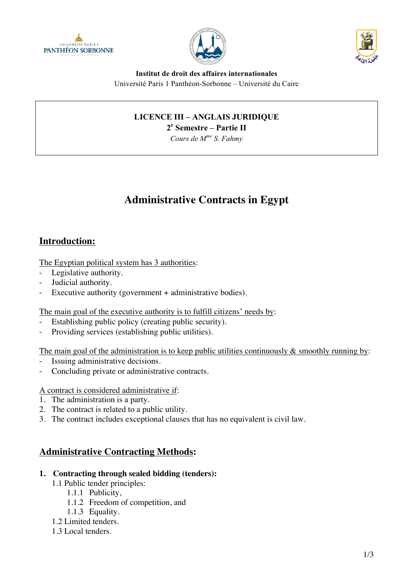





**Institut de droit des affaires internationales** Université Paris 1 Panthéon-Sorbonne – Université du Caire

# **LICENCE III – ANGLAIS JURIDIQUE**

**2e Semestre – Partie II**

*Cours de Mme S. Fahmy*

# **Administrative Contracts in Egypt**

# **Introduction:**

The Egyptian political system has 3 authorities:

- Legislative authority.
- Judicial authority.
- Executive authority (government + administrative bodies).

The main goal of the executive authority is to fulfill citizens' needs by:

- Establishing public policy (creating public security).
- Providing services (establishing public utilities).

The main goal of the administration is to keep public utilities continuously  $\&$  smoothly running by:

- Issuing administrative decisions.
- Concluding private or administrative contracts.

A contract is considered administrative if:

- 1. The administration is a party.
- 2. The contract is related to a public utility.
- 3. The contract includes exceptional clauses that has no equivalent is civil law.

## **Administrative Contracting Methods:**

#### **1. Contracting through sealed bidding (tenders):**

- 1.1 Public tender principles:
	- 1.1.1 Publicity,
	- 1.1.2 Freedom of competition, and
	- 1.1.3 Equality.
- 1.2 Limited tenders.
- 1.3 Local tenders.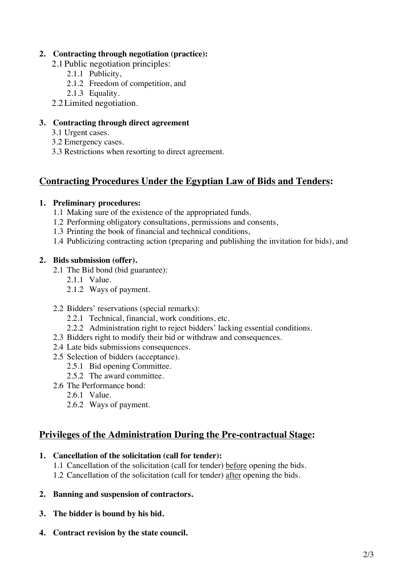### **2. Contracting through negotiation (practice):**

- 2.1Public negotiation principles:
	- 2.1.1 Publicity,
	- 2.1.2 Freedom of competition, and
	- 2.1.3 Equality.
- 2.2Limited negotiation.

### **3. Contracting through direct agreement**

- 3.1 Urgent cases.
- 3.2 Emergency cases.
- 3.3 Restrictions when resorting to direct agreement.

# **Contracting Procedures Under the Egyptian Law of Bids and Tenders:**

#### **1. Preliminary procedures:**

- 1.1 Making sure of the existence of the appropriated funds.
- 1.2 Performing obligatory consultations, permissions and consents,
- 1.3 Printing the book of financial and technical conditions,
- 1.4 Publicizing contracting action (preparing and publishing the invitation for bids), and

#### **2. Bids submission (offer).**

- 2.1 The Bid bond (bid guarantee):
	- 2.1.1 Value.
	- 2.1.2 Ways of payment.

#### 2.2 Bidders' reservations (special remarks):

- 2.2.1 Technical, financial, work conditions, etc.
- 2.2.2 Administration right to reject bidders' lacking essential conditions.
- 2.3 Bidders right to modify their bid or withdraw and consequences.
- 2.4 Late bids submissions consequences.
- 2.5 Selection of bidders (acceptance).
	- 2.5.1 Bid opening Committee.
	- 2.5.2 The award committee.
- 2.6 The Performance bond:
	- 2.6.1 Value.
	- 2.6.2 Ways of payment.

## **Privileges of the Administration During the Pre-contractual Stage:**

### **1. Cancellation of the solicitation (call for tender):**

- 1.1 Cancellation of the solicitation (call for tender) before opening the bids.
- 1.2 Cancellation of the solicitation (call for tender) after opening the bids.
- **2. Banning and suspension of contractors.**
- **3. The bidder is bound by his bid.**
- **4. Contract revision by the state council.**